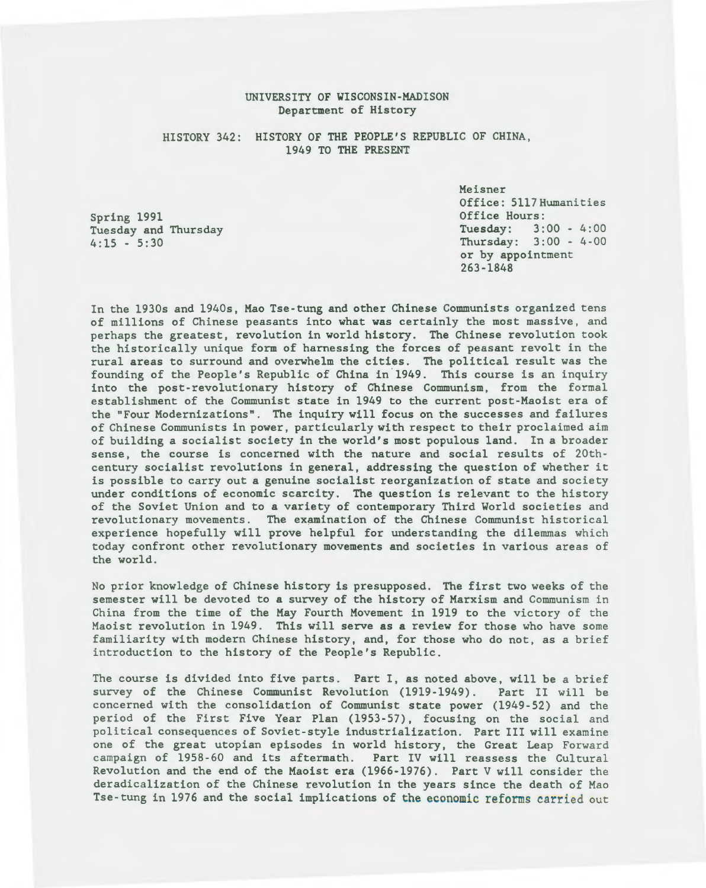### UNIVERSITY OF WISCONSIN-MADISON Department of History

### HISTORY 342: HISTORY OF THE PEOPLE'S REPUBLIC OF CHINA, 1949 TO THE PRESENT

Spring 1991 Tuesday and Thursday 4:15 - 5:30

Meisner Office: 5117Humanities Office Hours:<br>Tuesday: 3:  $3:00 - 4:00$ Thursday: 3:00 - 4-00 or by appointment 263-1848

In the 1930s and 1940s, Mao Tse-tung and other Chinese Communists organized tens of millions of Chinese peasants into what was certainly the most massive, and perhaps the greatest, revolution in world history. The Chinese revolution took the historically unique form of harnessing the forces of peasant revolt in the rural areas to surround and overwhelm the cities. The political result was the founding of the People's Republic of China in 1949. This course is an inquiry into the post-revolutionary history of Chinese Communism, from the formal establishment of the Communist state in 1949 to the current post-Maoist era of the "Four Modernizations". The inquiry will focus on the successes and failures of Chinese Communists in power, particularly with respect to their proclaimed aim of building a socialist society in the world's most populous land. In a broader sense, the course is concerned with the nature and social results of 20thcentury socialist revolutions in general, addressing the question of whether it is possible to carry out a genuine socialist reorganization of state and society under conditions of economic scarcity. The question is relevant to the history of the Soviet Union and to a variety of contemporary Third World societies and revolutionary movements. The examination of the Chinese Communist historical experience hopefully will prove helpful for understanding the dilemmas which today confront other revolutionary movements and societies in various areas of the world.

No prior knowledge of Chinese history is presupposed. The first two weeks of the semester will be devoted to a survey of the history of Marxism and Communism in China from the time of the May Fourth Movement in 1919 to the victory of the Maoist revolution in 1949. This will serve as a review for those who have some familiarity with modern Chinese history, and, for those who do not, as a brief introduction to the history of the People's Republic.

The course is divided into five parts. Part I, as noted above, will be a brief survey of the Chinese Communist Revolution (1919-1949). Part II will be concerned with the consolidation of Communist state power (1949-52) and the period of the First Five Year Plan (1953-57), focusing on the social and political consequences of Soviet-style industrialization. Part III will examine one of the great utopian episodes in world history, the Great Leap Forward campaign of 1958-60 and its aftermath. Part IV will reassess the Cultural Revolution and the end of the Maoist era (1966-1976) . Part V will consider the deradicalization of the Chinese revolution in the years since the death of Mao Tse-tung in 1976 and the social implications of the economic reforms carried out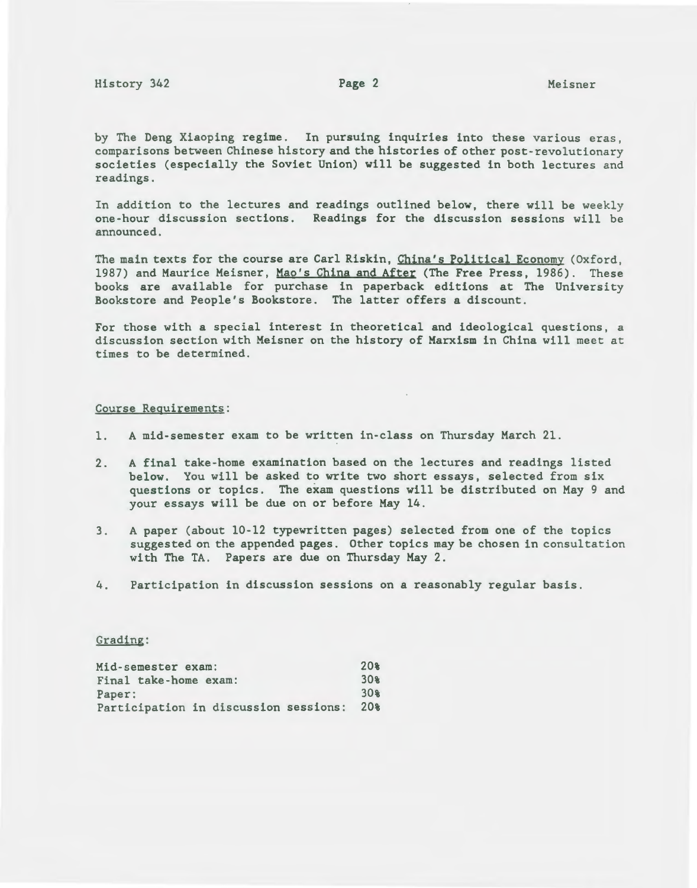by The Deng Xiaoping regime. In pursuing inquiries into these various eras , comparisons between Chinese history and the histories of other post-revolutionary societies (especially the Soviet Union) will be suggested in both lectures and readings .

In addition to the lectures and readings outlined below, there will be weekly one-hour discussion sections. Readings for the discussion sessions will be announced.

The main texts for the course are Carl Riskin, China's Political Economy (Oxford, 1987) and Maurice Meisner, Mao's China and After (The Free Press, 1986). These books are available for purchase in paperback editions at The University Bookstore and People's Bookstore. The latter offers a discount.

For those with a special interest in theoretical and ideological questions, a discussion section with Meisner on the history of Marxism in China will meet at times to be determined.

#### Course Requirements:

- 1. A mid-semester exam to be written in-class on Thursday March 21.
- 2. A final take-home examination based on the lectures and readings listed below. You will be asked to write two short essays, selected from six questions or topics. The exam questions will be distributed on May 9 and your essays will be due on or before May 14.
- 3 . A paper (about 10-12 typewritten pages) selected from one of the topics suggested on the appended pages. Other topics may be chosen in consultation with The TA. Papers are due on Thursday May 2.
- 4. Participation in discussion sessions on a reasonably regular basis.

#### Grading:

| Mid-semester exam:                    | 20%             |
|---------------------------------------|-----------------|
| Final take-home exam:                 | $30*$           |
| Paper:                                | 30 <sub>8</sub> |
| Participation in discussion sessions: | 20%             |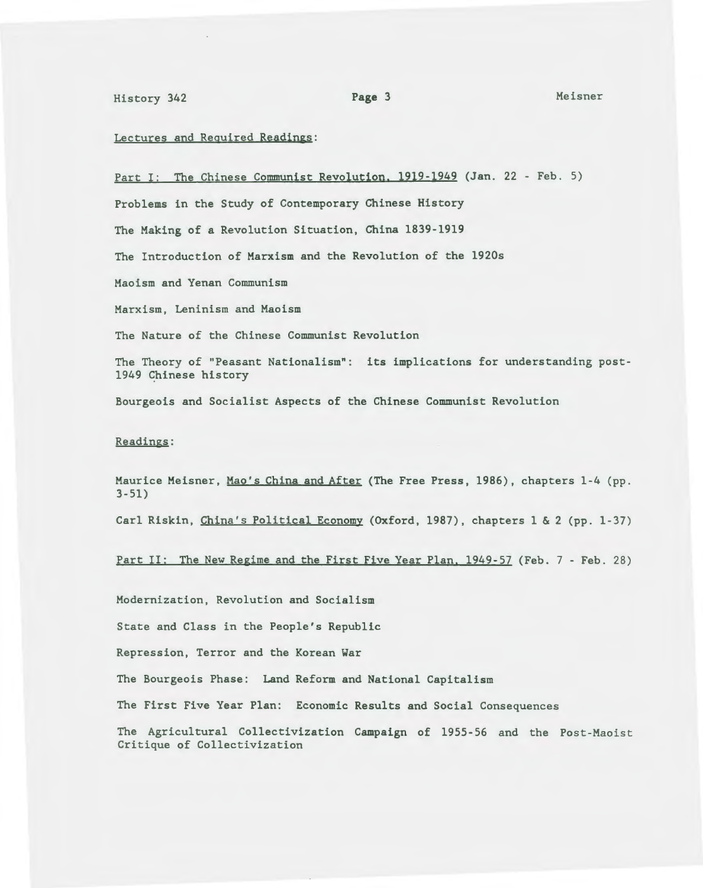# History 342 Page 3 Meisner

#### Lectures and Required Readings:

Part I: The Chinese Communist Revolution. 1919-1949 (Jan. 22 - Feb. 5)

Problems in the Study of Contemporary Chinese History

The Making of a Revolution Situation, China 1839-1919

The Introduction of Marxism and the Revolution of the 1920s

Maoism and Yenan Communism

Marxism, Leninism and Maoism

The Nature of the Chinese Communist Revolution

The Theory of "Peasant Nationalism": its implications for understanding post-1949 Chinese history

Bourgeois and Socialist Aspects of the Chinese Communist Revolution

#### Readings:

Maurice Meisner, Mao's China and After (The Free Press, 1986), chapters 1-4 (pp. 3-51)

Carl Riskin, China's Political Economy (Oxford, 1987), chapters 1 & 2 (pp. 1-37)

Part II: The New Regime and the First Five Year Plan, 1949-57 (Feb. 7 - Feb. 28)

Modernization, Revolution and Socialism

State and Class in the People's Republic

Repression, Terror and the Korean War

The Bourgeois Phase: Land Reform and National Capitalism

The First Five Year Plan: Economic Results and Social Consequences

The Agricultural Collectivization Campaign of 1955-56 and the Post-Maoist Critique of Collectivization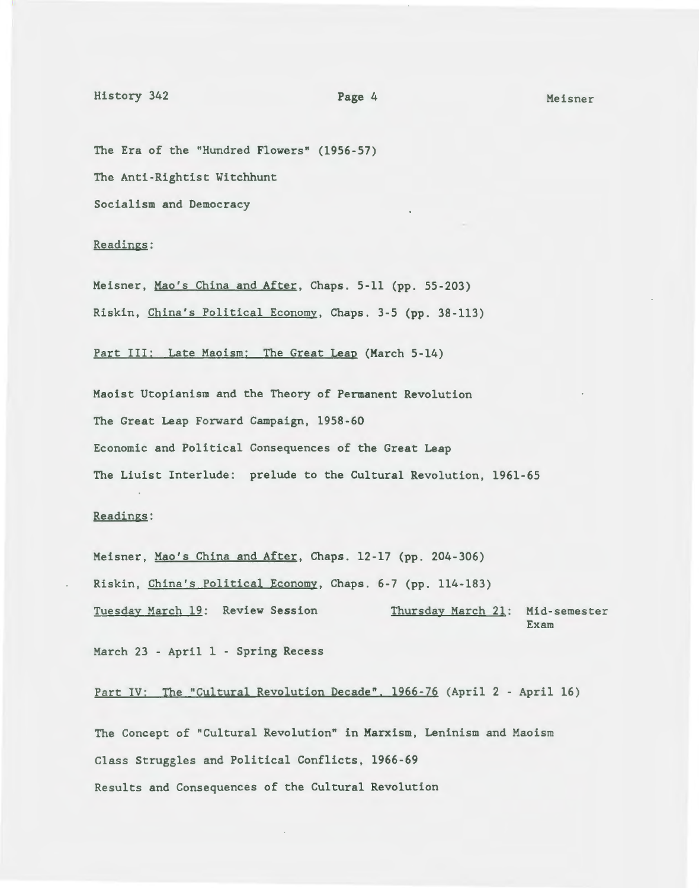## History 342 Page 4 Meisner

The Era of the "Hundred Flowers" (1956-57) The Anti-Rightist Witchhunt Socialism and Democracy

#### Readings:

Meisner, Mao's China and After, Chaps. 5-11 (pp. 55-203) Riskin, China's Political Economy, Chaps. 3-5 (pp. 38-113)

Part III: Late Maoism: The Great Leap (March 5-14)

Maoist Utopianism and the Theory of Permanent Revolution The Great Leap Forward Campaign, 1958-60 Economic and Political Consequences of the Great Leap The Liuist Interlude: prelude to the Cultural Revolution, 1961-65

## Readings:

Meisner, Mao's China and After, Chaps. 12-17 (pp. 204-306) Riskin, China's Political Economy, Chaps. 6-7 (pp. 114-183) Tuesday March 19: Review Session Thursday March 21: Mid-semester Exam

March 23 - April 1 - Spring Recess

Part IV: The "Cultural Revolution Decade". 1966-76 (April 2 - April 16)

The Concept of "Cultural Revolution" in Marxism, Leninism and Maoism Class Struggles and Political Conflicts, 1966-69 Results and Consequences of the Cultural Revolution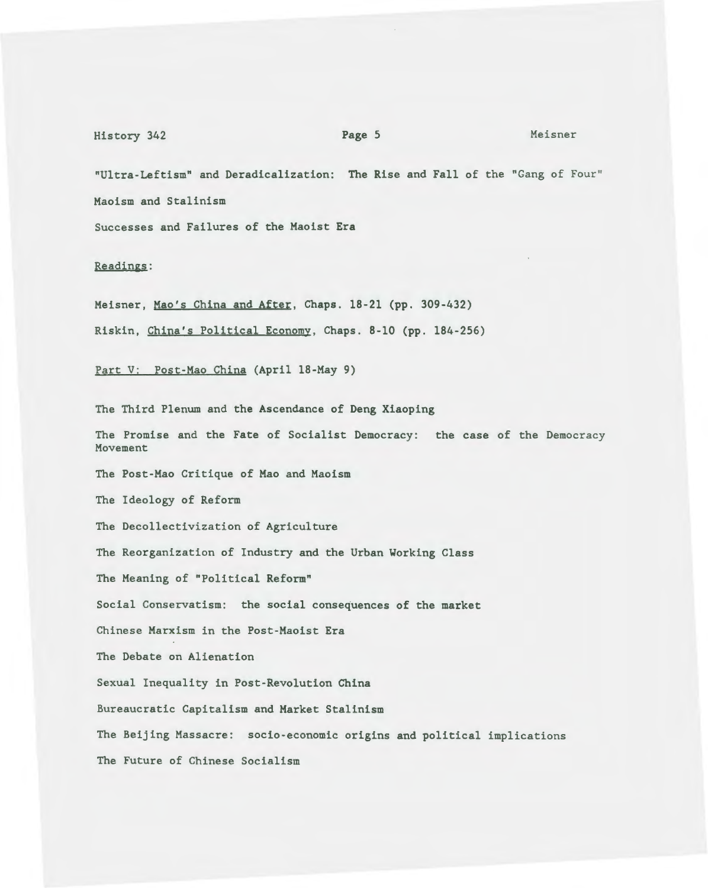## History 342 **Page 5** Meisner

"Ultra-Leftism" and Deradicalization: The Rise and Fall of the "Gang of Four" Maoism and Stalinism

Successes and Failures of the Maoist Era

Readings:

Meisner, Mao's China and After, Chaps. 18-21 (pp. 309-432) Riskin, China's Political Economy, Chaps. 8-10 (pp. 184-256)

Part V: Post-Mao China (April 18-May 9)

The Third Plenum and the Ascendance of Deng Xiaoping The Promise and the Fate of Socialist Democracy: the case of the Democracy Movement The Post-Mao Critique of Mao and Maoism The Ideology of Reform The Decollectivization of Agriculture The Reorganization of Industry and the Urban Working Class The Meaning of "Political Reform" Social Conservatism: the social consequences of the market Chinese Marxism in the Post-Maoist Era The Debate on Alienation Sexual Inequality in Post-Revolution China Bureaucratic Capitalism and Market Stalinism The Beijing Massacre: socio-economic origins and political implications The Future of Chinese Socialism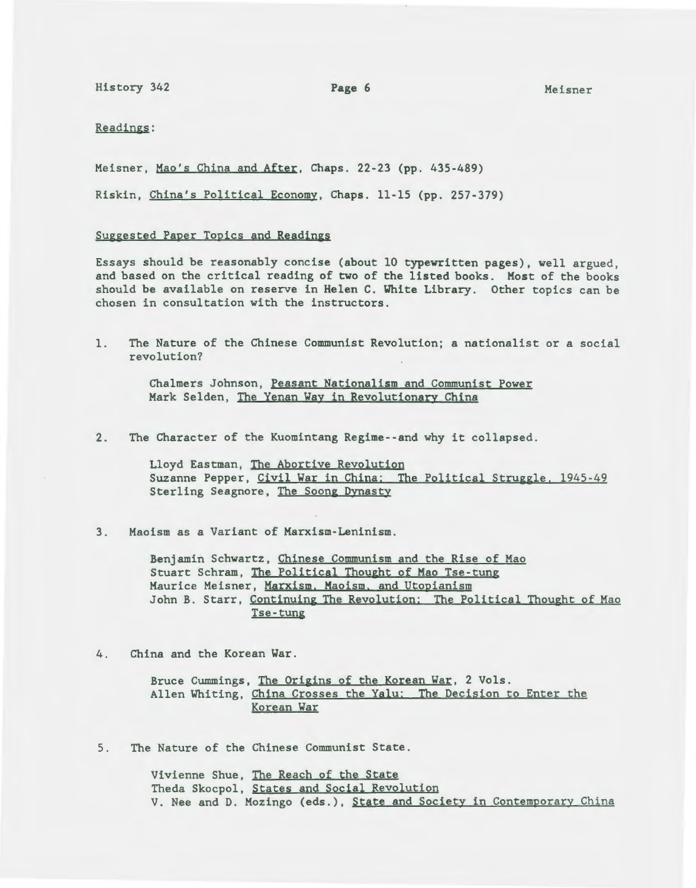History 342 **Page 6** Meisner

Readings:

Meisner, Mao's China and After, Chaps. 22-23 (pp. 435-489)

Riskin, China's Political Economy, Chaps. 11-15 (pp. 257-379)

#### Suggested Paper Topics and Readings

Essays should be reasonably concise (about 10 typewritten pages), well argued, and based on the critical reading of two of the listed books. Most of the books should be available on reserve in Helen C. White Library. Other topics can be chosen in consultation with the instructors.

1. The Nature of the Chinese Communist Revolution; a nationalist or a social revolution?

> Chalmers Johnson, Peasant Nationalism and Communist Power Mark Selden, The Yenan Way in Revolutionary China

2. The Character of the Kuomintang Regime--and why it collapsed.

Lloyd Eastman, The Abortive Revolution Suzanne Pepper, Civil War in China: The Political Struggle. 1945-49 Sterling Seagnore, The Soong Dynasty

3. Maoism as a Variant of Marxism-Leninism.

Benjamin Schwartz, Chinese Communism and the Rise of Mao Stuart Schram, The Political Thought of Mao Tse-tung Maurice Meisner, Marxism. Maoism. and Utopianism John B. Starr, Continuing The Revolution: The Political Thought of Mao Tse-tung

4. China and the Korean War.

Bruce Cummings, The Origins of the Korean War, 2 Vols. Allen Whiting, China Crosses the Yalu: The Decision to Enter the Korean War

5. The Nature of the Chinese Communist State.

Vivienne Shue, The Reach of the State Theda Skocpol, States and Social Revolution V. Nee and D. Mozingo (eds.), State and Society in Contemporary China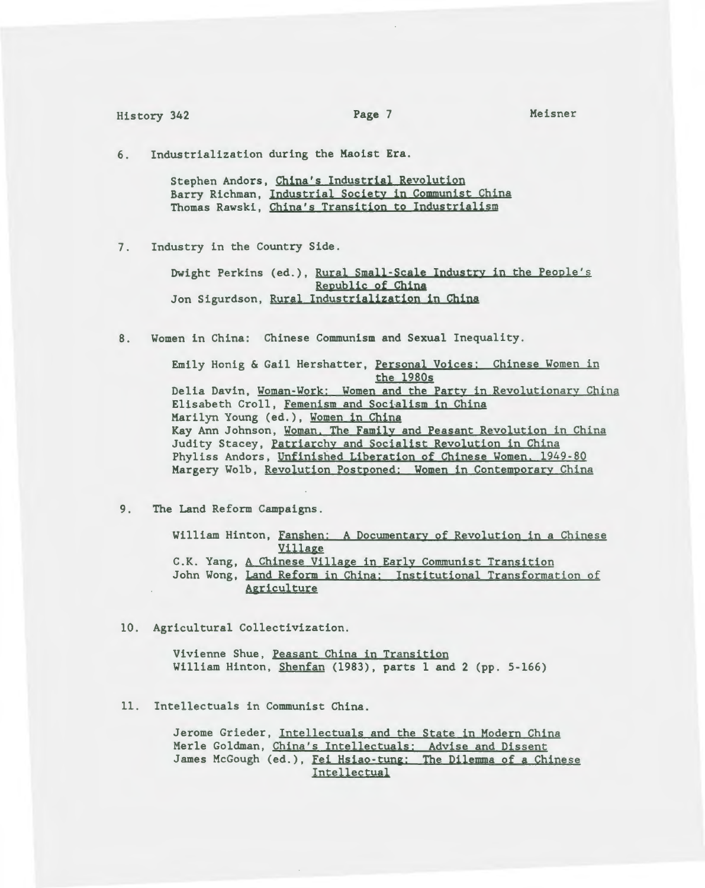Meisner

6. Industrialization during the Maoist Era.

Stephen Andors, China's Industrial Revolution Barry Richman, Industrial Society in Communist China Thomas Rawski, China's Transition to Industrialism

7. Industry in the Country Side.

Dwight Perkins (ed.), Rural Small-Scale Industry in the People's Republic of China Jon Sigurdson, Rural Industrialization in China

8. Women in China: Chinese Communism and Sexual Inequality.

Emily Honig & Gail Hershatter, Personal Voices: Chinese Women in the 1980s Delia Davin, Woman-Work: Women and the Party in Revolutionary China Elisabeth Croll, Femenism and Socialism in China Marilyn Young (ed.), Women in China Kay Ann Johnson, Woman. The Family and Peasant Revolution in China Judity Stacey, Patriarchy and Socialist Revolution in China Phyliss Andors, Unfinished Liberation of Chinese Women. 1949-80 Margery Wolb, Revolution Postponed: Women in Contemporary China

9. The Land Reform Campaigns .

William Hinton, Fanshen: A Documentary of Revolution in a Chinese Village C.K. Yang, A Chinese Village in Early Communist Transition John Wong, Land Reform in China: Institutional Transformation of Agriculture

10. Agricultural Collectivization.

Vivienne Shue, Peasant China in Transition William Hinton, Shenfan (1983), parts 1 and 2 (pp. 5-166)

11. Intellectuals in Communist China.

Jerome Grieder, Intellectuals and the State in Modern China Merle Goldman, China's Intellectuals: Advise and Dissent James McGough (ed.), Fei Hsiao-tung: The Dilemma of a Chinese Intellectual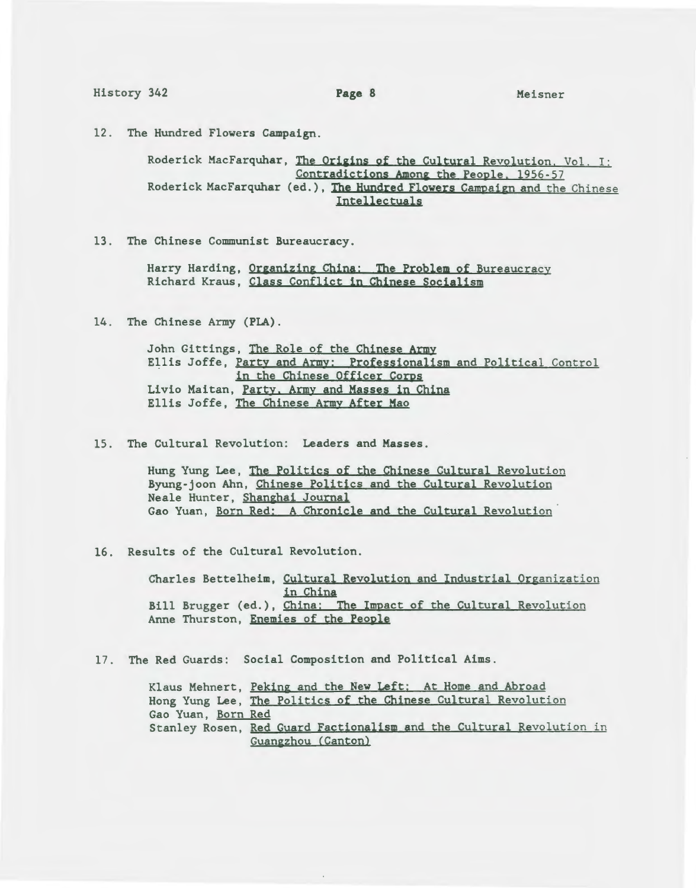History 342 **Page 8** Meisner

12. The Hundred Flowers Campaign.

Roderick MacFarquhar, The Origins of the Cultural Revolution. Vol. I: Contradictions Among the People, 1956-57 Roderick MacFarquhar (ed.), The Hundred Flowers Campaign and the Chinese Intellectuals

13. The Chinese Communist Bureaucracy.

Harry Harding, Organizing China: The Problem of Bureaucracy Richard Kraus, Class Conflict in Chinese Socialism

14. The Chinese Army (PLA).

John Gittings, The Role of the Chinese Army Ellis Joffe, Party and Army: Professionalism and Political Control in the Chinese Officer Corps Livio Maitan, Party. Army and Masses in China Ellis Joffe, The Chinese Army After Mao

15. The Cultural Revolution: Leaders and Masses.

Hung Yung Lee, The Politics of the Chinese Cultural Revolution Byung-joon Ahn, Chinese Politics and the Cultural Revolution Neale Hunter, Shanghai Journal Gao Yuan, Born Red: A Chronicle and the Cultural Revolution

16. Results of the Cultural Revolution.

Charles Bettelheim, Cultural Revolution and Industrial Organization in China Bill Brugger (ed.), China: The Impact of the Cultural Revolution Anne Thurston, Enemies of the People

17. The Red Guards: Social Composition and Political Aims.

|                    | Klaus Mehnert, Peking and the New Left: At Home and Abroad           |
|--------------------|----------------------------------------------------------------------|
|                    | Hong Yung Lee, The Politics of the Chinese Cultural Revolution       |
| Gao Yuan, Born Red |                                                                      |
|                    | Stanley Rosen, Red Guard Factionalism and the Cultural Revolution in |
|                    | Guangzhou (Canton)                                                   |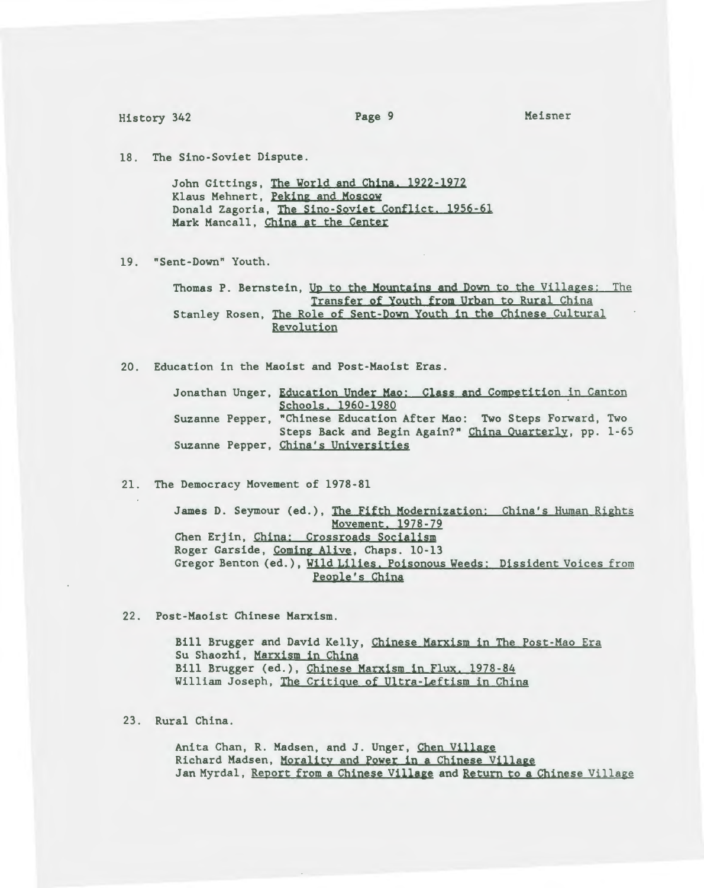Meisner

18. The Sino-Soviet Dispute.

John Gittings, The World and China. 1922-1972 Klaus Mehnert, Peking and Moscow Donald Zagoria, The Sino-Soviet Conflict. 1956-61 Mark Mancall, China at the Center

19. "Sent-Down" Youth.

Thomas P. Bernstein, Up to the Mountains and Down to the Villages: The Transfer of Youth from Urban to Rural China Stanley Rosen, The Role of Sent-Down Youth in the Chinese Cultural Revolution

20. Education in the Maoist and Post-Maoist Eras.

Jonathan Unger, Education Under Mao: Class and Competition in Canton Schools. 1960-1980 Suzanne Pepper, "Chinese Education After Mao: Two Steps Forward, Two Steps Back and Begin Again?" China Quarterly, pp. 1-65 Suzanne Pepper, China's Universities

21. The Democracy Movement of 1978-81

James D. Seymour (ed.), The Fifth Modernization: China's Human Rights Movement. 1978-79 Chen Erjin, China: Crossroads Socialism Roger Garside, Coming Alive, Chaps. 10-13 Gregor Benton (ed.), Wild Lilies. Poisonous Weeds: Dissident Voices from People's China

22. Post-Maoist Chinese Marxism.

Bill Brugger and David Kelly, Cbinese Marxism in The Post-Mao Era Su Shaozhi, Marxism in China Bill Brugger (ed.), Chinese Marxism in Flux. 1978-84 William Joseph, The Critique of Ultra-Leftism in China

23. Rural China.

Anita Chan, R. Madsen, and J. Unger, Chen Village Richard Madsen, Morality and Power in a Chinese Village Jan Myrdal, Report from a Chinese Village and Return to a Chinese Village